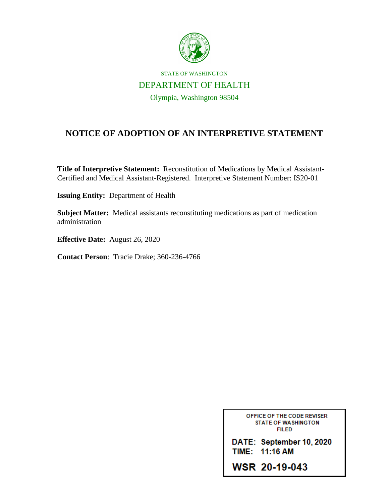

## STATE OF WASHINGTON DEPARTMENT OF HEALTH Olympia, Washington 98504

## **NOTICE OF ADOPTION OF AN INTERPRETIVE STATEMENT**

**Title of Interpretive Statement:** Reconstitution of Medications by Medical Assistant-Certified and Medical Assistant-Registered. Interpretive Statement Number: IS20-01

**Issuing Entity:** Department of Health

**Subject Matter:** Medical assistants reconstituting medications as part of medication administration

**Effective Date:** August 26, 2020

**Contact Person**: Tracie Drake; 360-236-4766

OFFICE OF THE CODE REVISER **STATE OF WASHINGTON FILED** DATE: September 10, 2020 TIME: 11:16 AM

**WSR 20-19-043**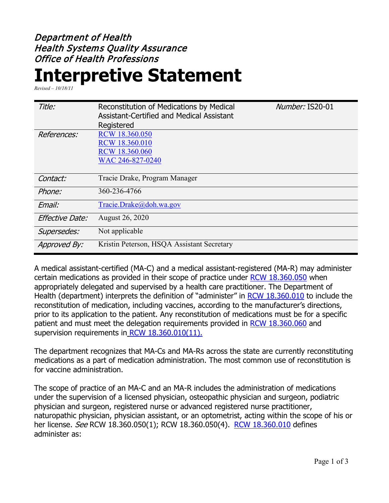## Department of Health Health Systems Quality Assurance Office of Health Professions

## **Interpretive Statement**

*Revised – 10/18/11*

| Title:                 | Reconstitution of Medications by Medical<br><b>Assistant-Certified and Medical Assistant</b><br>Registered | Number: IS20-01 |
|------------------------|------------------------------------------------------------------------------------------------------------|-----------------|
| References:            | <b>RCW 18.360.050</b><br>RCW 18.360.010<br>RCW 18.360.060<br>WAC 246-827-0240                              |                 |
| Contact:               | Tracie Drake, Program Manager                                                                              |                 |
| Phone:                 | 360-236-4766                                                                                               |                 |
| Email:                 | Tracie.Drake@doh.wa.gov                                                                                    |                 |
| <b>Effective Date:</b> | August 26, 2020                                                                                            |                 |
| Supersedes:            | Not applicable                                                                                             |                 |
| Approved By:           | Kristin Peterson, HSQA Assistant Secretary                                                                 |                 |

A medical assistant-certified (MA-C) and a medical assistant-registered (MA-R) may administer certain medications as provided in their scope of practice under [RCW 18.360.050](https://app.leg.wa.gov/RCW/default.aspx?cite=18.360.050) when appropriately delegated and supervised by a health care practitioner. The Department of Health (department) interprets the definition of "administer" in [RCW 18.360.010](https://app.leg.wa.gov/RCW/default.aspx?cite=18.360.010) to include the reconstitution of medication, including vaccines, according to the manufacturer's directions, prior to its application to the patient. Any reconstitution of medications must be for a specific patient and must meet the delegation requirements provided in [RCW 18.360.060](https://app.leg.wa.gov/RCW/default.aspx?cite=18.360.060) and supervision requirements in [RCW 18.360.010\(11\).](https://app.leg.wa.gov/RCW/default.aspx?cite=18.360.010)

The department recognizes that MA-Cs and MA-Rs across the state are currently reconstituting medications as a part of medication administration. The most common use of reconstitution is for vaccine administration.

The scope of practice of an MA-C and an MA-R includes the administration of medications under the supervision of a licensed physician, osteopathic physician and surgeon, podiatric physician and surgeon, registered nurse or advanced registered nurse practitioner, naturopathic physician, physician assistant, or an optometrist, acting within the scope of his or her license. See RCW 18.360.050(1); RCW 18.360.050(4). [RCW 18.360.010](https://app.leg.wa.gov/RCW/default.aspx?cite=18.360.010) defines administer as: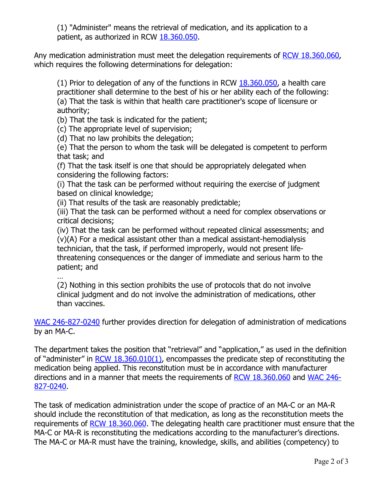(1) "Administer" means the retrieval of medication, and its application to a patient, as authorized in RCW [18.360.050.](http://app.leg.wa.gov/RCW/default.aspx?cite=18.360.050)

Any medication administration must meet the delegation requirements of [RCW 18.360.060,](https://app.leg.wa.gov/RCW/default.aspx?cite=18.360.060) which requires the following determinations for delegation:

(1) Prior to delegation of any of the functions in RCW [18.360.050,](http://app.leg.wa.gov/RCW/default.aspx?cite=18.360.050) a health care practitioner shall determine to the best of his or her ability each of the following: (a) That the task is within that health care practitioner's scope of licensure or authority;

(b) That the task is indicated for the patient;

(c) The appropriate level of supervision;

(d) That no law prohibits the delegation;

(e) That the person to whom the task will be delegated is competent to perform that task; and

(f) That the task itself is one that should be appropriately delegated when considering the following factors:

(i) That the task can be performed without requiring the exercise of judgment based on clinical knowledge;

(ii) That results of the task are reasonably predictable;

(iii) That the task can be performed without a need for complex observations or critical decisions;

(iv) That the task can be performed without repeated clinical assessments; and (v)(A) For a medical assistant other than a medical assistant-hemodialysis technician, that the task, if performed improperly, would not present lifethreatening consequences or the danger of immediate and serious harm to the patient; and

…

(2) Nothing in this section prohibits the use of protocols that do not involve clinical judgment and do not involve the administration of medications, other than vaccines.

[WAC 246-827-0240](https://apps.leg.wa.gov/WAC/default.aspx?cite=246-827-0240) further provides direction for delegation of administration of medications by an MA-C.

The department takes the position that "retrieval" and "application," as used in the definition of "administer" in  $RCW$  18.360.010(1), encompasses the predicate step of reconstituting the medication being applied. This reconstitution must be in accordance with manufacturer directions and in a manner that meets the requirements of [RCW 18.360.060](https://app.leg.wa.gov/RCW/default.aspx?cite=18.360.060) and [WAC 246-](https://apps.leg.wa.gov/WAC/default.aspx?cite=246-827-0240) [827-0240.](https://apps.leg.wa.gov/WAC/default.aspx?cite=246-827-0240)

The task of medication administration under the scope of practice of an MA-C or an MA-R should include the reconstitution of that medication, as long as the reconstitution meets the requirements of [RCW 18.360.060.](https://app.leg.wa.gov/RCW/default.aspx?cite=18.360.060) The delegating health care practitioner must ensure that the MA-C or MA-R is reconstituting the medications according to the manufacturer's directions. The MA-C or MA-R must have the training, knowledge, skills, and abilities (competency) to